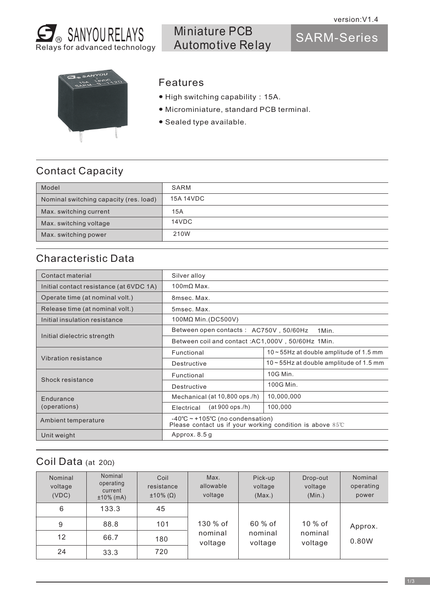

Miniature PCB Automotive Relay

SARM-Series



## Features

- High switching capability:15A.
- Microminiature, standard PCB terminal.
- Sealed type available.

## Contact Capacity

| Model                                  | SARM      |
|----------------------------------------|-----------|
| Nominal switching capacity (res. load) | 15A 14VDC |
| Max. switching current                 | 15A       |
| Max. switching voltage                 | 14VDC     |
| Max. switching power                   | 210W      |

## Characteristic Data

| Contact material                        | Silver alloy                                                                                                 |                                               |  |  |
|-----------------------------------------|--------------------------------------------------------------------------------------------------------------|-----------------------------------------------|--|--|
| Initial contact resistance (at 6VDC 1A) | $100 \text{mA}$ Max.                                                                                         |                                               |  |  |
| Operate time (at nominal volt.)         | 8msec. Max.                                                                                                  |                                               |  |  |
| Release time (at nominal volt.)         | 5msec. Max.                                                                                                  |                                               |  |  |
| Initial insulation resistance           | 100MΩ Min. (DC500V)                                                                                          |                                               |  |  |
|                                         | Between open contacts : AC750V, 50/60Hz<br>1Min.                                                             |                                               |  |  |
| Initial dielectric strength             | Between coil and contact: AC1,000V, 50/60Hz 1Min.                                                            |                                               |  |  |
|                                         | Functional                                                                                                   | $10 \sim 55$ Hz at double amplitude of 1.5 mm |  |  |
| Vibration resistance                    | Destructive                                                                                                  | $10 \sim 55$ Hz at double amplitude of 1.5 mm |  |  |
| Shock resistance                        | Functional                                                                                                   | 10G Min.                                      |  |  |
|                                         | Destructive                                                                                                  | 100G Min.                                     |  |  |
| Endurance                               | Mechanical (at 10,800 ops./h)                                                                                | 10,000,000                                    |  |  |
| (operations)                            | $(at 900$ ops./h)<br>Electrical                                                                              | 100,000                                       |  |  |
| Ambient temperature                     | -40°C $\sim$ +105°C (no condensation)<br>Please contact us if your working condition is above $85^{\circ}$ C |                                               |  |  |
| Unit weight                             | Approx. 8.5 g                                                                                                |                                               |  |  |

## Coil Data (at 20Ω)

| Nominal<br>voltage<br>(VDC) | Nominal<br>operating<br>current<br>$±10\%$ (mA) | Coil<br>resistance<br>$\pm 10\%$ ( $\Omega$ ) | Max.<br>allowable<br>voltage | Pick-up<br>voltage<br>(Max.) | Drop-out<br>voltage<br>(Min.) | Nominal<br>operating<br>power |
|-----------------------------|-------------------------------------------------|-----------------------------------------------|------------------------------|------------------------------|-------------------------------|-------------------------------|
| 6                           | 133.3                                           | 45                                            |                              |                              |                               |                               |
| 9                           | 88.8                                            | 101                                           | 130 % of                     | 60 % of                      | $10\%$ of                     | Approx.                       |
| 12                          | 66.7                                            | 180                                           | nominal<br>voltage           | nominal<br>voltage           | nominal<br>voltage            | 0.80W                         |
| 24                          | 33.3                                            | 720                                           |                              |                              |                               |                               |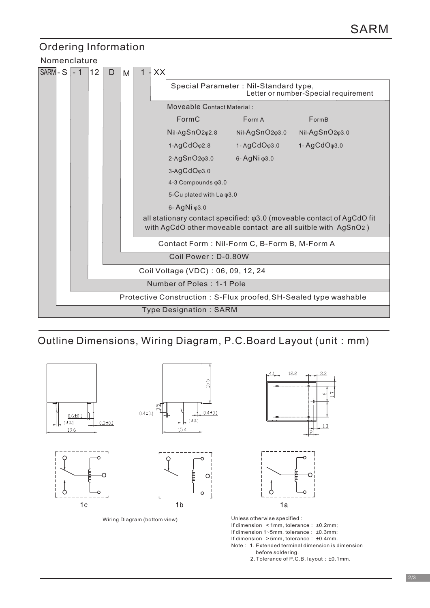# Ordering Information

### Nomenclature

| SARM-S                                                           |                                    | - 1 | 12 | D | M |                     | XX |                                                                                                                                                  |                            |                                         |  |  |  |
|------------------------------------------------------------------|------------------------------------|-----|----|---|---|---------------------|----|--------------------------------------------------------------------------------------------------------------------------------------------------|----------------------------|-----------------------------------------|--|--|--|
|                                                                  |                                    |     |    |   |   |                     |    | Special Parameter: Nil-Standard type,<br>Letter or number-Special requirement                                                                    |                            |                                         |  |  |  |
|                                                                  |                                    |     |    |   |   |                     |    | <b>Moveable Contact Material:</b>                                                                                                                |                            |                                         |  |  |  |
|                                                                  |                                    |     |    |   |   |                     |    | FormC                                                                                                                                            | Form A                     | FormB                                   |  |  |  |
|                                                                  |                                    |     |    |   |   |                     |    | Nil-AgSnO <sub>2</sub> <sub>92.8</sub>                                                                                                           | Nil-AgSnO2 <sub>43.0</sub> | Nil-AgSnO <sub>2</sub> <sub>93.0</sub>  |  |  |  |
|                                                                  |                                    |     |    |   |   |                     |    | $1-AgCdO\varphi2.8$                                                                                                                              | $1 - AgCdO\varphi3.0$      | 1-AgCdO <sub><math>\phi</math>3.0</sub> |  |  |  |
|                                                                  |                                    |     |    |   |   |                     |    | 2-AgSnO2 <sub>43.0</sub><br>6-AgNi $\varphi$ 3.0                                                                                                 |                            |                                         |  |  |  |
|                                                                  |                                    |     |    |   |   |                     |    | 3-AgCdO <sub><math>\phi</math>3.0</sub>                                                                                                          |                            |                                         |  |  |  |
|                                                                  |                                    |     |    |   |   |                     |    | 4-3 Compounds $\varphi$ 3.0                                                                                                                      |                            |                                         |  |  |  |
|                                                                  |                                    |     |    |   |   |                     |    | 5-Cu plated with La $\varphi$ 3.0                                                                                                                |                            |                                         |  |  |  |
|                                                                  |                                    |     |    |   |   |                     |    | 6-AgNi φ3.0                                                                                                                                      |                            |                                         |  |  |  |
|                                                                  |                                    |     |    |   |   |                     |    | all stationary contact specified: $\varphi$ 3.0 (moveable contact of AgCdO fit<br>with AgCdO other moveable contact are all suitble with AgSnO2) |                            |                                         |  |  |  |
|                                                                  |                                    |     |    |   |   |                     |    | Contact Form: Nil-Form C, B-Form B, M-Form A                                                                                                     |                            |                                         |  |  |  |
|                                                                  |                                    |     |    |   |   | Coil Power: D-0.80W |    |                                                                                                                                                  |                            |                                         |  |  |  |
|                                                                  | Coil Voltage (VDC): 06, 09, 12, 24 |     |    |   |   |                     |    |                                                                                                                                                  |                            |                                         |  |  |  |
|                                                                  |                                    |     |    |   |   |                     |    |                                                                                                                                                  |                            |                                         |  |  |  |
| Number of Poles: 1-1 Pole                                        |                                    |     |    |   |   |                     |    |                                                                                                                                                  |                            |                                         |  |  |  |
| Protective Construction: S-Flux proofed, SH-Sealed type washable |                                    |     |    |   |   |                     |    |                                                                                                                                                  |                            |                                         |  |  |  |
| <b>Type Designation: SARM</b>                                    |                                    |     |    |   |   |                     |    |                                                                                                                                                  |                            |                                         |  |  |  |

## Outline Dimensions, Wiring Diagram, P.C.Board Layout (unit: mm)



Wiring Diagram (bottom view)



Unless otherwise specified:

If dimension  $\leq 1$ mm, tolerance:  $\pm 0.2$ mm;

If dimension 1~5mm, tolerance: ±0.3mm;

If dimension >5mm, tolerance: ±0.4mm. Note: 1. Extended terminal dimension is dimension

before soldering.

2. Tolerance of P.C.B. layout: ±0.1mm.